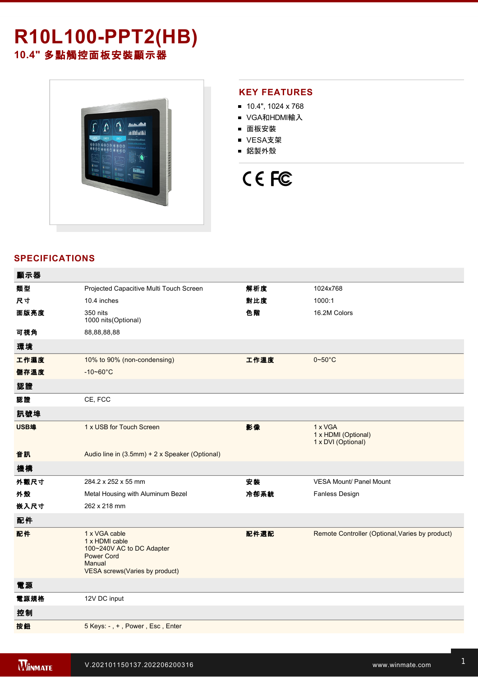# **R10L100PPT2(HB) 10.4"** 多點觸控面板安裝顯示器



#### **KEY FEATURES**

- 10.4", 1024 x 768
- VGA和HDMI輸入
- 面板安裝
- VESA支架
- 鋁製外殼

# CE FC

### **SPECIFICATIONS**

| 顯示器  |                                                                                                                               |      |                                                      |
|------|-------------------------------------------------------------------------------------------------------------------------------|------|------------------------------------------------------|
| 類型   | Projected Capacitive Multi Touch Screen                                                                                       | 解析度  | 1024x768                                             |
| 尺寸   | 10.4 inches                                                                                                                   | 對比度  | 1000:1                                               |
| 面版亮度 | 350 nits<br>1000 nits (Optional)                                                                                              | 色階   | 16.2M Colors                                         |
| 可視角  | 88,88,88,88                                                                                                                   |      |                                                      |
| 環境   |                                                                                                                               |      |                                                      |
| 工作濕度 | 10% to 90% (non-condensing)                                                                                                   | 工作溫度 | $0 - 50^{\circ}$ C                                   |
| 儲存溫度 | $-10 - 60^{\circ}$ C                                                                                                          |      |                                                      |
| 認證   |                                                                                                                               |      |                                                      |
| 認證   | CE, FCC                                                                                                                       |      |                                                      |
| 訊號埠  |                                                                                                                               |      |                                                      |
| USB埠 | 1 x USB for Touch Screen                                                                                                      | 影像   | 1 x VGA<br>1 x HDMI (Optional)<br>1 x DVI (Optional) |
| 音訊   | Audio line in (3.5mm) + 2 x Speaker (Optional)                                                                                |      |                                                      |
| 機構   |                                                                                                                               |      |                                                      |
| 外觀尺寸 | 284.2 x 252 x 55 mm                                                                                                           | 安装   | <b>VESA Mount/ Panel Mount</b>                       |
| 外殼   | Metal Housing with Aluminum Bezel                                                                                             | 冷卻系統 | <b>Fanless Design</b>                                |
| 嵌入尺寸 | 262 x 218 mm                                                                                                                  |      |                                                      |
| 配件   |                                                                                                                               |      |                                                      |
| 配件   | 1 x VGA cable<br>1 x HDMI cable<br>100~240V AC to DC Adapter<br><b>Power Cord</b><br>Manual<br>VESA screws(Varies by product) | 配件選配 | Remote Controller (Optional, Varies by product)      |
| 電源   |                                                                                                                               |      |                                                      |
| 電源規格 | 12V DC input                                                                                                                  |      |                                                      |
| 控制   |                                                                                                                               |      |                                                      |
| 按鈕   | 5 Keys: -, +, Power, Esc, Enter                                                                                               |      |                                                      |
|      |                                                                                                                               |      |                                                      |

**DIMENSIONS**  UNIT:MM